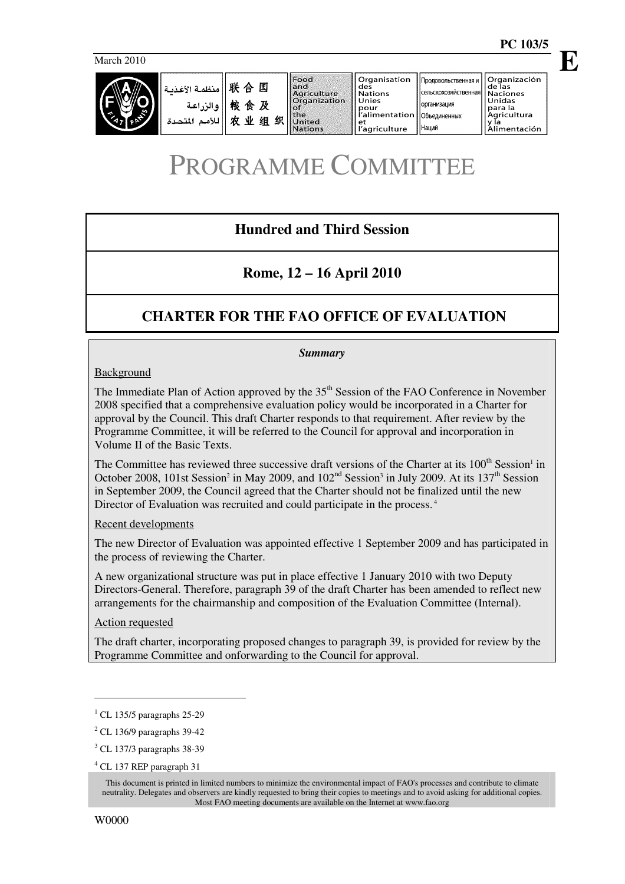**E**



| ا منظمة الأغذمة $\mathbb R$ $\mathbb H$ هنظمة المخالسة $\mathbb H$<br>والزراعة<br>اللأمم المتحدة | 粮食及<br>业<br>士<br>织<br>组 | Food<br>andi<br>Agriculture<br><b>Organization</b><br>the<br><b>United</b><br><b>Nations</b> | <b>Organisation</b><br>des<br><b>Nations</b><br>Unies<br>pour<br>l'alimentation   Объединенных<br>еt<br>l'agriculture | Продовольственная и    Organización<br>[сельскохозяйственная]   Naciones<br><b>Горганизация</b><br><b>Наций</b> | l de las<br>Unidas<br>para la<br>Agricultura<br>Alimentación |
|--------------------------------------------------------------------------------------------------|-------------------------|----------------------------------------------------------------------------------------------|-----------------------------------------------------------------------------------------------------------------------|-----------------------------------------------------------------------------------------------------------------|--------------------------------------------------------------|
|--------------------------------------------------------------------------------------------------|-------------------------|----------------------------------------------------------------------------------------------|-----------------------------------------------------------------------------------------------------------------------|-----------------------------------------------------------------------------------------------------------------|--------------------------------------------------------------|

# PROGRAMME COMMITTEE

# **Hundred and Third Session**

# **Rome, 12 – 16 April 2010**

# **CHARTER FOR THE FAO OFFICE OF EVALUATION**

#### *Summary*

#### **Background**

The Immediate Plan of Action approved by the 35<sup>th</sup> Session of the FAO Conference in November 2008 specified that a comprehensive evaluation policy would be incorporated in a Charter for approval by the Council. This draft Charter responds to that requirement. After review by the Programme Committee, it will be referred to the Council for approval and incorporation in Volume II of the Basic Texts.

The Committee has reviewed three successive draft versions of the Charter at its 100<sup>th</sup> Session<sup>1</sup> in October 2008, 101st Session<sup>2</sup> in May 2009, and  $102<sup>nd</sup>$  Session<sup>3</sup> in July 2009. At its 137<sup>th</sup> Session in September 2009, the Council agreed that the Charter should not be finalized until the new Director of Evaluation was recruited and could participate in the process.<sup>4</sup>

#### Recent developments

The new Director of Evaluation was appointed effective 1 September 2009 and has participated in the process of reviewing the Charter.

A new organizational structure was put in place effective 1 January 2010 with two Deputy Directors-General. Therefore, paragraph 39 of the draft Charter has been amended to reflect new arrangements for the chairmanship and composition of the Evaluation Committee (Internal).

#### Action requested

The draft charter, incorporating proposed changes to paragraph 39, is provided for review by the Programme Committee and onforwarding to the Council for approval.

 $\ddot{\phantom{a}}$ 

<sup>1</sup> CL 135/5 paragraphs 25-29

<sup>2</sup> CL 136/9 paragraphs 39-42

<sup>3</sup> CL 137/3 paragraphs 38-39

<sup>4</sup> CL 137 REP paragraph 31

This document is printed in limited numbers to minimize the environmental impact of FAO's processes and contribute to climate neutrality. Delegates and observers are kindly requested to bring their copies to meetings and to avoid asking for additional copies. Most FAO meeting documents are available on the Internet at www.fao.org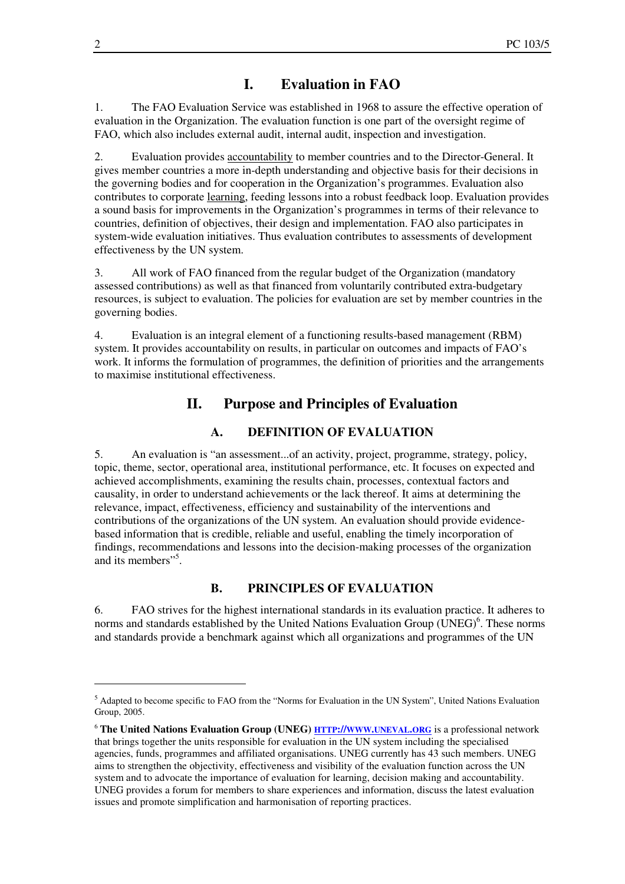### **I. Evaluation in FAO**

1. The FAO Evaluation Service was established in 1968 to assure the effective operation of evaluation in the Organization. The evaluation function is one part of the oversight regime of FAO, which also includes external audit, internal audit, inspection and investigation.

2. Evaluation provides accountability to member countries and to the Director-General. It gives member countries a more in-depth understanding and objective basis for their decisions in the governing bodies and for cooperation in the Organization's programmes. Evaluation also contributes to corporate learning, feeding lessons into a robust feedback loop. Evaluation provides a sound basis for improvements in the Organization's programmes in terms of their relevance to countries, definition of objectives, their design and implementation. FAO also participates in system-wide evaluation initiatives. Thus evaluation contributes to assessments of development effectiveness by the UN system.

3. All work of FAO financed from the regular budget of the Organization (mandatory assessed contributions) as well as that financed from voluntarily contributed extra-budgetary resources, is subject to evaluation. The policies for evaluation are set by member countries in the governing bodies.

4. Evaluation is an integral element of a functioning results-based management (RBM) system. It provides accountability on results, in particular on outcomes and impacts of FAO's work. It informs the formulation of programmes, the definition of priorities and the arrangements to maximise institutional effectiveness.

### **II. Purpose and Principles of Evaluation**

### **A. DEFINITION OF EVALUATION**

5. An evaluation is "an assessment...of an activity, project, programme, strategy, policy, topic, theme, sector, operational area, institutional performance, etc. It focuses on expected and achieved accomplishments, examining the results chain, processes, contextual factors and causality, in order to understand achievements or the lack thereof. It aims at determining the relevance, impact, effectiveness, efficiency and sustainability of the interventions and contributions of the organizations of the UN system. An evaluation should provide evidencebased information that is credible, reliable and useful, enabling the timely incorporation of findings, recommendations and lessons into the decision-making processes of the organization and its members"<sup>5</sup>.

#### **B. PRINCIPLES OF EVALUATION**

6. FAO strives for the highest international standards in its evaluation practice. It adheres to norms and standards established by the United Nations Evaluation Group (UNEG) $<sup>6</sup>$ . These norms</sup> and standards provide a benchmark against which all organizations and programmes of the UN

 $\overline{a}$ 

<sup>5</sup> Adapted to become specific to FAO from the "Norms for Evaluation in the UN System", United Nations Evaluation Group, 2005.

<sup>6</sup> **The United Nations Evaluation Group (UNEG) HTTP://WWW.UNEVAL.ORG** is a professional network that brings together the units responsible for evaluation in the UN system including the specialised agencies, funds, programmes and affiliated organisations. UNEG currently has 43 such members. UNEG aims to strengthen the objectivity, effectiveness and visibility of the evaluation function across the UN system and to advocate the importance of evaluation for learning, decision making and accountability. UNEG provides a forum for members to share experiences and information, discuss the latest evaluation issues and promote simplification and harmonisation of reporting practices.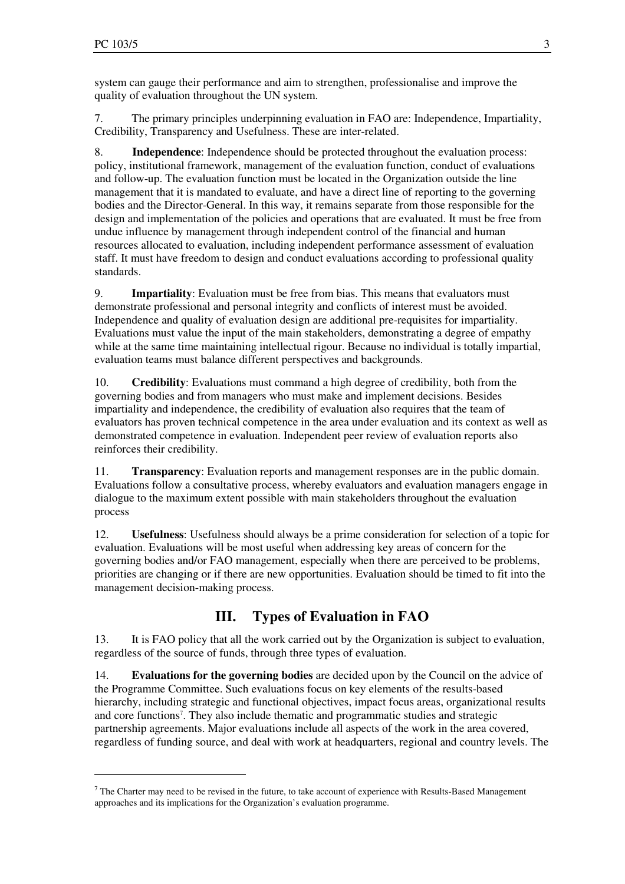$\overline{a}$ 

system can gauge their performance and aim to strengthen, professionalise and improve the quality of evaluation throughout the UN system.

7. The primary principles underpinning evaluation in FAO are: Independence, Impartiality, Credibility, Transparency and Usefulness. These are inter-related.

8. **Independence**: Independence should be protected throughout the evaluation process: policy, institutional framework, management of the evaluation function, conduct of evaluations and follow-up. The evaluation function must be located in the Organization outside the line management that it is mandated to evaluate, and have a direct line of reporting to the governing bodies and the Director-General. In this way, it remains separate from those responsible for the design and implementation of the policies and operations that are evaluated. It must be free from undue influence by management through independent control of the financial and human resources allocated to evaluation, including independent performance assessment of evaluation staff. It must have freedom to design and conduct evaluations according to professional quality standards.

9. **Impartiality**: Evaluation must be free from bias. This means that evaluators must demonstrate professional and personal integrity and conflicts of interest must be avoided. Independence and quality of evaluation design are additional pre-requisites for impartiality. Evaluations must value the input of the main stakeholders, demonstrating a degree of empathy while at the same time maintaining intellectual rigour. Because no individual is totally impartial, evaluation teams must balance different perspectives and backgrounds.

10. **Credibility**: Evaluations must command a high degree of credibility, both from the governing bodies and from managers who must make and implement decisions. Besides impartiality and independence, the credibility of evaluation also requires that the team of evaluators has proven technical competence in the area under evaluation and its context as well as demonstrated competence in evaluation. Independent peer review of evaluation reports also reinforces their credibility.

11. **Transparency**: Evaluation reports and management responses are in the public domain. Evaluations follow a consultative process, whereby evaluators and evaluation managers engage in dialogue to the maximum extent possible with main stakeholders throughout the evaluation process

12. **Usefulness**: Usefulness should always be a prime consideration for selection of a topic for evaluation. Evaluations will be most useful when addressing key areas of concern for the governing bodies and/or FAO management, especially when there are perceived to be problems, priorities are changing or if there are new opportunities. Evaluation should be timed to fit into the management decision-making process.

# **III. Types of Evaluation in FAO**

13. It is FAO policy that all the work carried out by the Organization is subject to evaluation, regardless of the source of funds, through three types of evaluation.

14. **Evaluations for the governing bodies** are decided upon by the Council on the advice of the Programme Committee. Such evaluations focus on key elements of the results-based hierarchy, including strategic and functional objectives, impact focus areas, organizational results and core functions<sup>7</sup>. They also include thematic and programmatic studies and strategic partnership agreements. Major evaluations include all aspects of the work in the area covered, regardless of funding source, and deal with work at headquarters, regional and country levels. The

 $<sup>7</sup>$  The Charter may need to be revised in the future, to take account of experience with Results-Based Management</sup> approaches and its implications for the Organization's evaluation programme.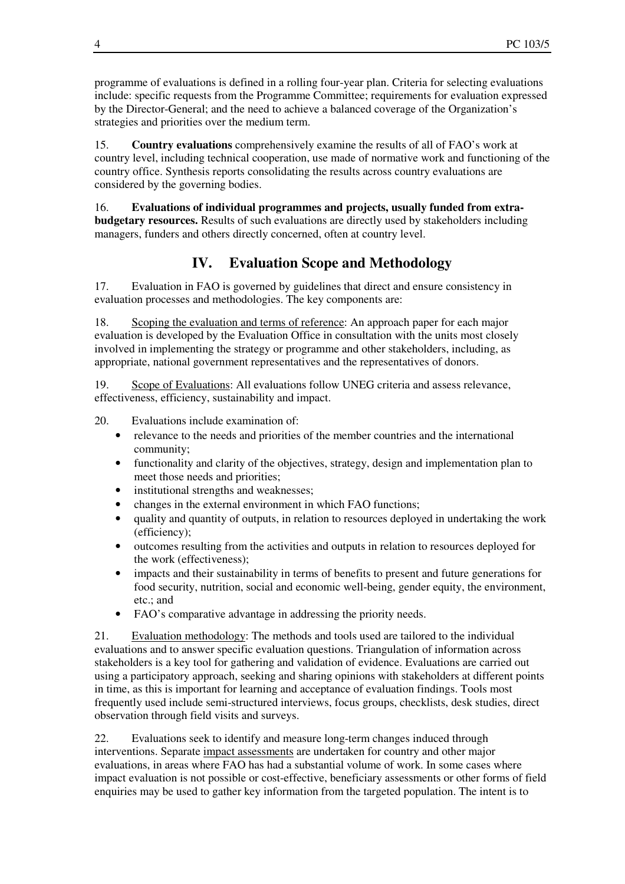programme of evaluations is defined in a rolling four-year plan. Criteria for selecting evaluations include: specific requests from the Programme Committee; requirements for evaluation expressed by the Director-General; and the need to achieve a balanced coverage of the Organization's strategies and priorities over the medium term.

15. **Country evaluations** comprehensively examine the results of all of FAO's work at country level, including technical cooperation, use made of normative work and functioning of the country office. Synthesis reports consolidating the results across country evaluations are considered by the governing bodies.

16. **Evaluations of individual programmes and projects, usually funded from extrabudgetary resources.** Results of such evaluations are directly used by stakeholders including managers, funders and others directly concerned, often at country level.

# **IV. Evaluation Scope and Methodology**

17. Evaluation in FAO is governed by guidelines that direct and ensure consistency in evaluation processes and methodologies. The key components are:

18. Scoping the evaluation and terms of reference: An approach paper for each major evaluation is developed by the Evaluation Office in consultation with the units most closely involved in implementing the strategy or programme and other stakeholders, including, as appropriate, national government representatives and the representatives of donors.

19. Scope of Evaluations: All evaluations follow UNEG criteria and assess relevance, effectiveness, efficiency, sustainability and impact.

20. Evaluations include examination of:

- relevance to the needs and priorities of the member countries and the international community;
- functionality and clarity of the objectives, strategy, design and implementation plan to meet those needs and priorities;
- institutional strengths and weaknesses;
- changes in the external environment in which FAO functions;
- quality and quantity of outputs, in relation to resources deployed in undertaking the work (efficiency);
- outcomes resulting from the activities and outputs in relation to resources deployed for the work (effectiveness);
- impacts and their sustainability in terms of benefits to present and future generations for food security, nutrition, social and economic well-being, gender equity, the environment, etc.; and
- FAO's comparative advantage in addressing the priority needs.

21. Evaluation methodology: The methods and tools used are tailored to the individual evaluations and to answer specific evaluation questions. Triangulation of information across stakeholders is a key tool for gathering and validation of evidence. Evaluations are carried out using a participatory approach, seeking and sharing opinions with stakeholders at different points in time, as this is important for learning and acceptance of evaluation findings. Tools most frequently used include semi-structured interviews, focus groups, checklists, desk studies, direct observation through field visits and surveys.

22. Evaluations seek to identify and measure long-term changes induced through interventions. Separate impact assessments are undertaken for country and other major evaluations, in areas where FAO has had a substantial volume of work. In some cases where impact evaluation is not possible or cost-effective, beneficiary assessments or other forms of field enquiries may be used to gather key information from the targeted population. The intent is to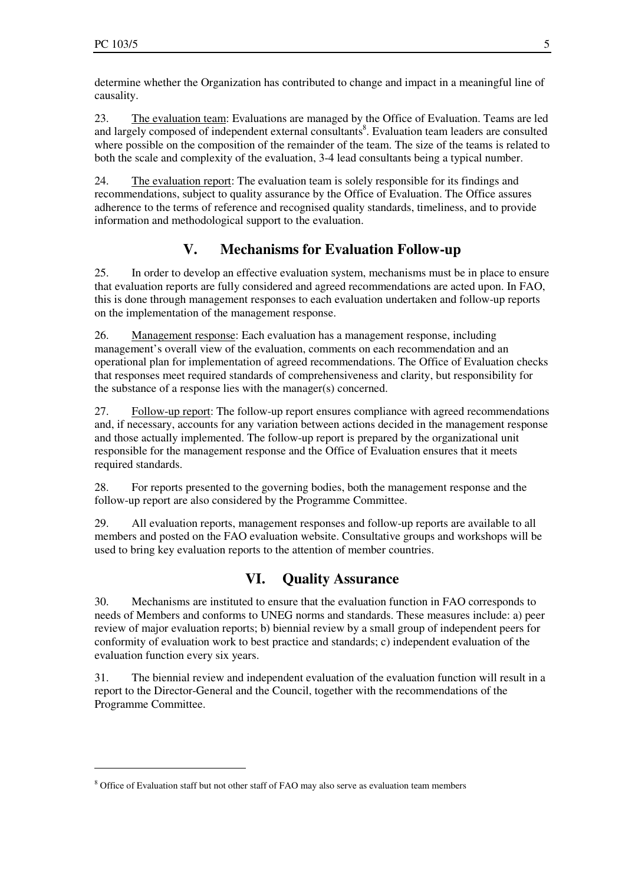$\overline{a}$ 

determine whether the Organization has contributed to change and impact in a meaningful line of causality.

23. The evaluation team: Evaluations are managed by the Office of Evaluation. Teams are led and largely composed of independent external consultants<sup>8</sup>. Evaluation team leaders are consulted where possible on the composition of the remainder of the team. The size of the teams is related to both the scale and complexity of the evaluation, 3-4 lead consultants being a typical number.

24. The evaluation report: The evaluation team is solely responsible for its findings and recommendations, subject to quality assurance by the Office of Evaluation. The Office assures adherence to the terms of reference and recognised quality standards, timeliness, and to provide information and methodological support to the evaluation.

### **V. Mechanisms for Evaluation Follow-up**

25. In order to develop an effective evaluation system, mechanisms must be in place to ensure that evaluation reports are fully considered and agreed recommendations are acted upon. In FAO, this is done through management responses to each evaluation undertaken and follow-up reports on the implementation of the management response.

26. Management response: Each evaluation has a management response, including management's overall view of the evaluation, comments on each recommendation and an operational plan for implementation of agreed recommendations. The Office of Evaluation checks that responses meet required standards of comprehensiveness and clarity, but responsibility for the substance of a response lies with the manager(s) concerned.

27. Follow-up report: The follow-up report ensures compliance with agreed recommendations and, if necessary, accounts for any variation between actions decided in the management response and those actually implemented. The follow-up report is prepared by the organizational unit responsible for the management response and the Office of Evaluation ensures that it meets required standards.

28. For reports presented to the governing bodies, both the management response and the follow-up report are also considered by the Programme Committee.

29. All evaluation reports, management responses and follow-up reports are available to all members and posted on the FAO evaluation website. Consultative groups and workshops will be used to bring key evaluation reports to the attention of member countries.

### **VI. Quality Assurance**

30. Mechanisms are instituted to ensure that the evaluation function in FAO corresponds to needs of Members and conforms to UNEG norms and standards. These measures include: a) peer review of major evaluation reports; b) biennial review by a small group of independent peers for conformity of evaluation work to best practice and standards; c) independent evaluation of the evaluation function every six years.

31. The biennial review and independent evaluation of the evaluation function will result in a report to the Director-General and the Council, together with the recommendations of the Programme Committee.

<sup>&</sup>lt;sup>8</sup> Office of Evaluation staff but not other staff of FAO may also serve as evaluation team members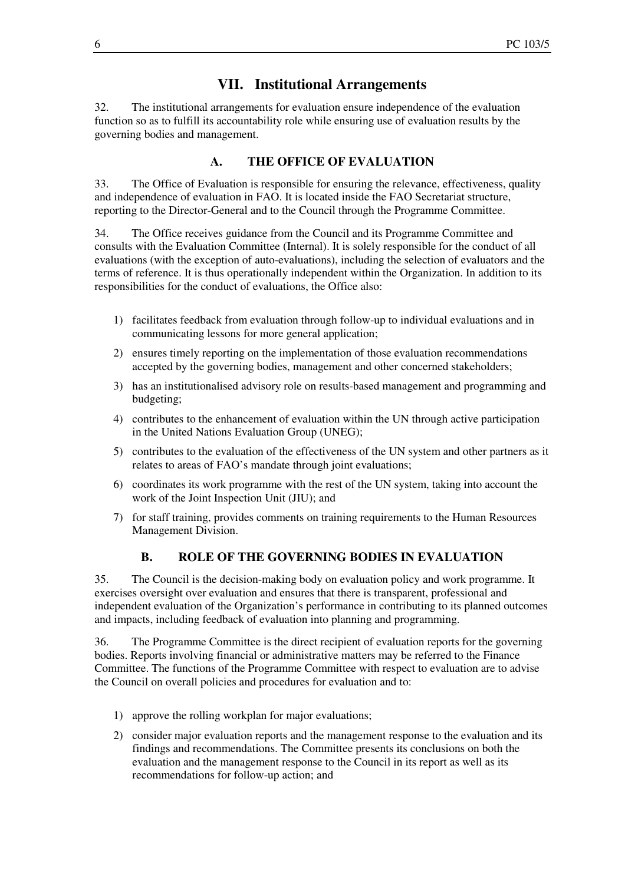### **VII. Institutional Arrangements**

32. The institutional arrangements for evaluation ensure independence of the evaluation function so as to fulfill its accountability role while ensuring use of evaluation results by the governing bodies and management.

#### **A. THE OFFICE OF EVALUATION**

33. The Office of Evaluation is responsible for ensuring the relevance, effectiveness, quality and independence of evaluation in FAO. It is located inside the FAO Secretariat structure, reporting to the Director-General and to the Council through the Programme Committee.

34. The Office receives guidance from the Council and its Programme Committee and consults with the Evaluation Committee (Internal). It is solely responsible for the conduct of all evaluations (with the exception of auto-evaluations), including the selection of evaluators and the terms of reference. It is thus operationally independent within the Organization. In addition to its responsibilities for the conduct of evaluations, the Office also:

- 1) facilitates feedback from evaluation through follow-up to individual evaluations and in communicating lessons for more general application;
- 2) ensures timely reporting on the implementation of those evaluation recommendations accepted by the governing bodies, management and other concerned stakeholders;
- 3) has an institutionalised advisory role on results-based management and programming and budgeting;
- 4) contributes to the enhancement of evaluation within the UN through active participation in the United Nations Evaluation Group (UNEG);
- 5) contributes to the evaluation of the effectiveness of the UN system and other partners as it relates to areas of FAO's mandate through joint evaluations;
- 6) coordinates its work programme with the rest of the UN system, taking into account the work of the Joint Inspection Unit (JIU); and
- 7) for staff training, provides comments on training requirements to the Human Resources Management Division.

#### **B. ROLE OF THE GOVERNING BODIES IN EVALUATION**

35. The Council is the decision-making body on evaluation policy and work programme. It exercises oversight over evaluation and ensures that there is transparent, professional and independent evaluation of the Organization's performance in contributing to its planned outcomes and impacts, including feedback of evaluation into planning and programming.

36. The Programme Committee is the direct recipient of evaluation reports for the governing bodies. Reports involving financial or administrative matters may be referred to the Finance Committee. The functions of the Programme Committee with respect to evaluation are to advise the Council on overall policies and procedures for evaluation and to:

- 1) approve the rolling workplan for major evaluations;
- 2) consider major evaluation reports and the management response to the evaluation and its findings and recommendations. The Committee presents its conclusions on both the evaluation and the management response to the Council in its report as well as its recommendations for follow-up action; and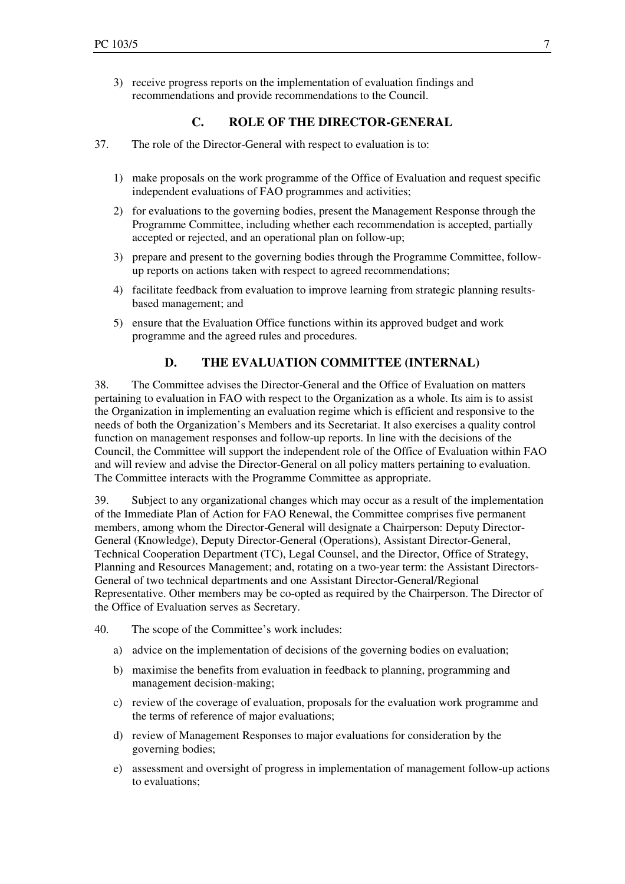3) receive progress reports on the implementation of evaluation findings and recommendations and provide recommendations to the Council.

### **C. ROLE OF THE DIRECTOR-GENERAL**

- 37. The role of the Director-General with respect to evaluation is to:
	- 1) make proposals on the work programme of the Office of Evaluation and request specific independent evaluations of FAO programmes and activities;
	- 2) for evaluations to the governing bodies, present the Management Response through the Programme Committee, including whether each recommendation is accepted, partially accepted or rejected, and an operational plan on follow-up;
	- 3) prepare and present to the governing bodies through the Programme Committee, followup reports on actions taken with respect to agreed recommendations;
	- 4) facilitate feedback from evaluation to improve learning from strategic planning resultsbased management; and
	- 5) ensure that the Evaluation Office functions within its approved budget and work programme and the agreed rules and procedures.

### **D. THE EVALUATION COMMITTEE (INTERNAL)**

38. The Committee advises the Director-General and the Office of Evaluation on matters pertaining to evaluation in FAO with respect to the Organization as a whole. Its aim is to assist the Organization in implementing an evaluation regime which is efficient and responsive to the needs of both the Organization's Members and its Secretariat. It also exercises a quality control function on management responses and follow-up reports. In line with the decisions of the Council, the Committee will support the independent role of the Office of Evaluation within FAO and will review and advise the Director-General on all policy matters pertaining to evaluation. The Committee interacts with the Programme Committee as appropriate.

39. Subject to any organizational changes which may occur as a result of the implementation of the Immediate Plan of Action for FAO Renewal, the Committee comprises five permanent members, among whom the Director-General will designate a Chairperson: Deputy Director-General (Knowledge), Deputy Director-General (Operations), Assistant Director-General, Technical Cooperation Department (TC), Legal Counsel, and the Director, Office of Strategy, Planning and Resources Management; and, rotating on a two-year term: the Assistant Directors-General of two technical departments and one Assistant Director-General/Regional Representative. Other members may be co-opted as required by the Chairperson. The Director of the Office of Evaluation serves as Secretary.

- 40. The scope of the Committee's work includes:
	- a) advice on the implementation of decisions of the governing bodies on evaluation;
	- b) maximise the benefits from evaluation in feedback to planning, programming and management decision-making;
	- c) review of the coverage of evaluation, proposals for the evaluation work programme and the terms of reference of major evaluations;
	- d) review of Management Responses to major evaluations for consideration by the governing bodies;
	- e) assessment and oversight of progress in implementation of management follow-up actions to evaluations;